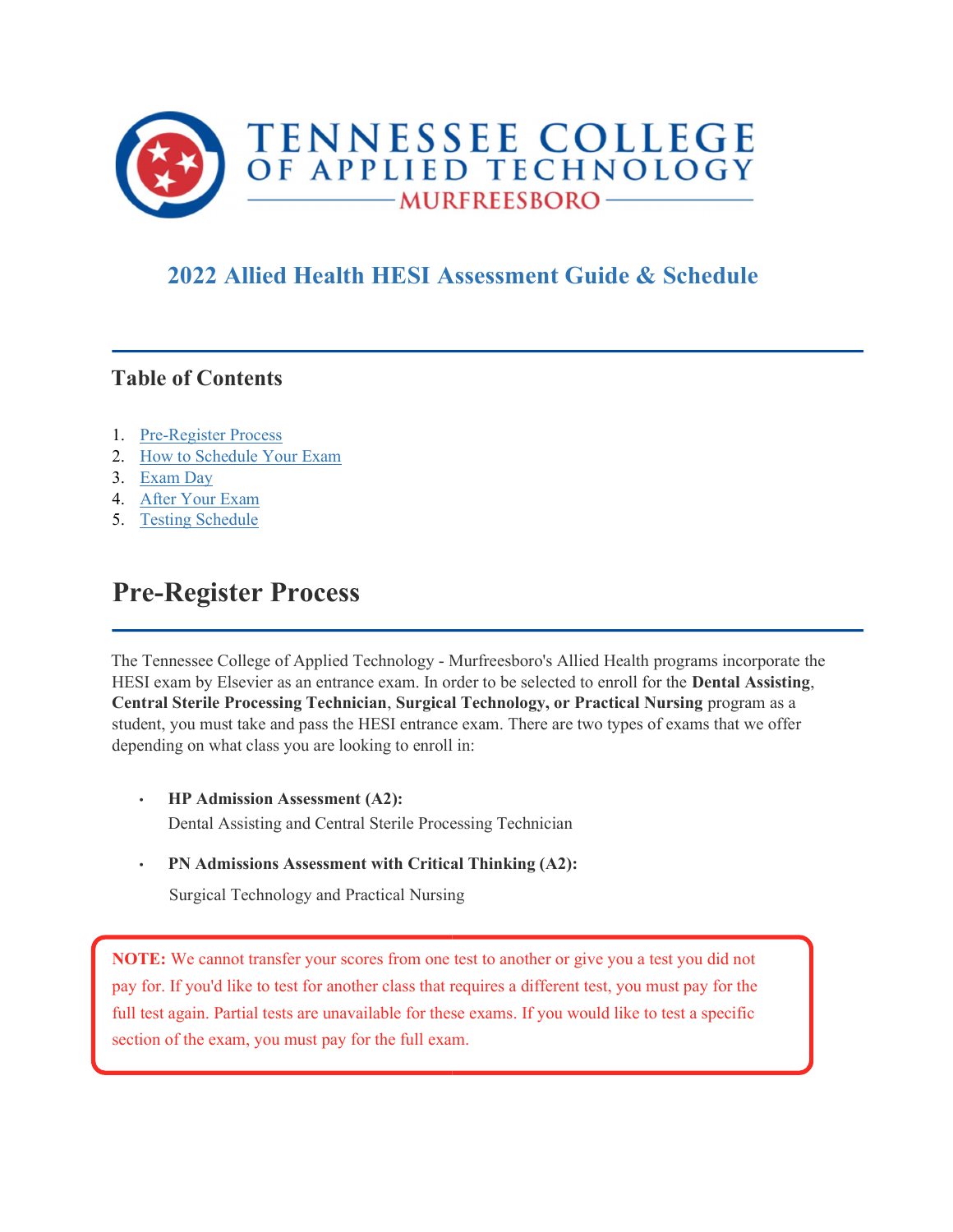

### 2022 Allied Health HESI Assessment Guide & Schedule

#### Table of Contents

- 1. Pre-Register Process
- 2. How to Schedule Your Exam
- 3. Exam Day
- 4. After Your Exam
- 5. Testing Schedule

## Pre-Register Process

The Tennessee College of Applied Technology - Murfreesboro's Allied Health programs incorporate the HESI exam by Elsevier as an entrance exam. In order to be selected to enroll for the Dental Assisting, Central Sterile Processing Technician, Surgical Technology, or Practical Nursing program as a student, you must take and pass the HESI entrance exam. There are two types of exams that we offer depending on what class you are looking to enroll in:

- HP Admission Assessment (A2): Dental Assisting and Central Sterile Processing Technician
- PN Admissions Assessment with Critical Thinking (A2):

Surgical Technology and Practical Nursing

NOTE: We cannot transfer your scores from one test to another or give you a test you did not pay for. If you'd like to test for another class that requires a different test, you must pay for the full test again. Partial tests are unavailable for these exams. If you would like to test a specific section of the exam, you must pay for the full exam.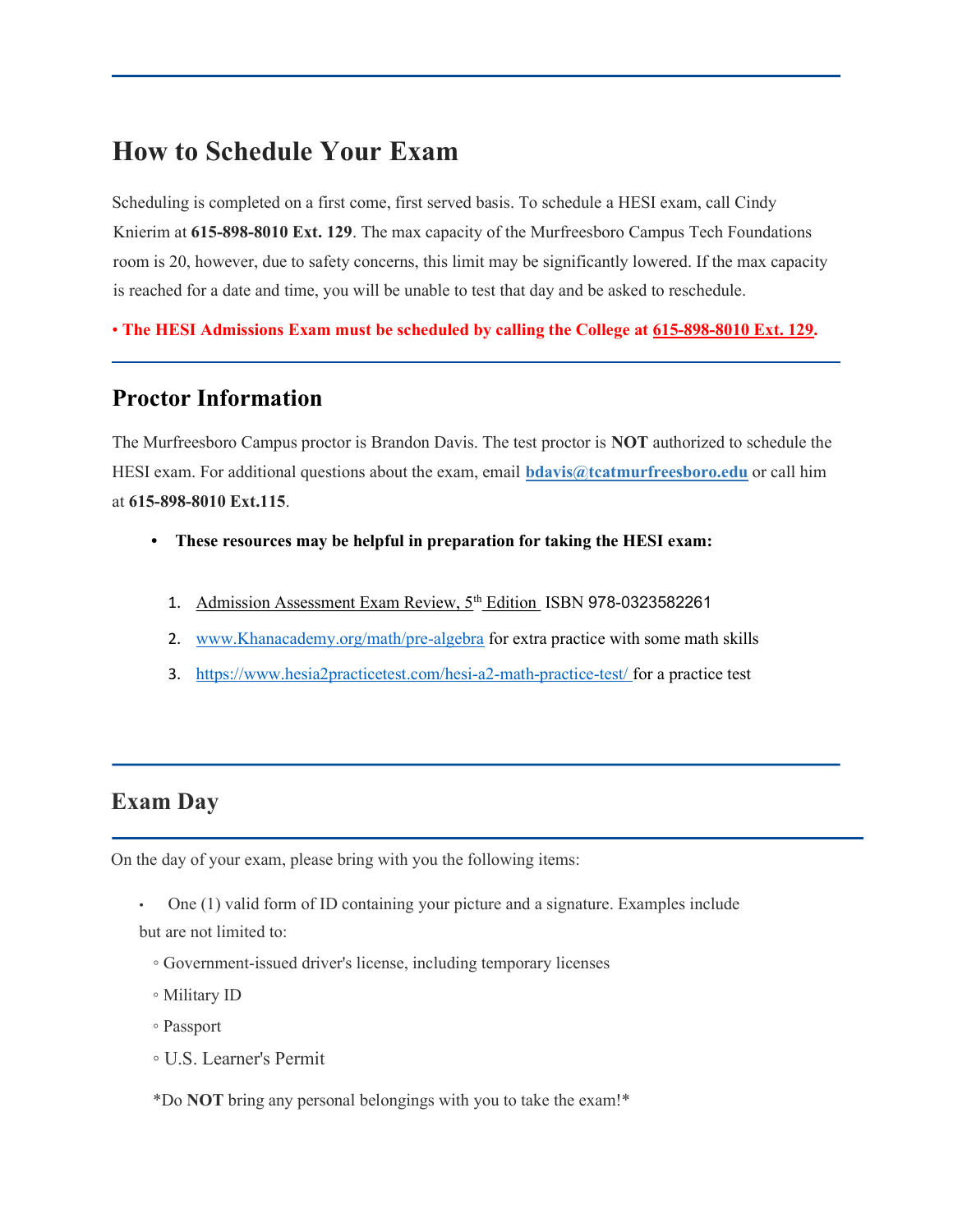### How to Schedule Your Exam

Scheduling is completed on a first come, first served basis. To schedule a HESI exam, call Cindy Knierim at 615-898-8010 Ext. 129. The max capacity of the Murfreesboro Campus Tech Foundations room is 20, however, due to safety concerns, this limit may be significantly lowered. If the max capacity is reached for a date and time, you will be unable to test that day and be asked to reschedule.

• The HESI Admissions Exam must be scheduled by calling the College at 615-898-8010 Ext. 129.

#### Proctor Information

The Murfreesboro Campus proctor is Brandon Davis. The test proctor is NOT authorized to schedule the HESI exam. For additional questions about the exam, email **bdavis@tcatmurfreesboro.edu** or call him at 615-898-8010 Ext.115.

- These resources may be helpful in preparation for taking the HESI exam:
	- 1. Admission Assessment Exam Review, 5<sup>th</sup> Edition ISBN 978-0323582261
	- 2. www.Khanacademy.org/math/pre-algebra for extra practice with some math skills
	- 3. https://www.hesia2practicetest.com/hesi-a2-math-practice-test/ for a practice test

#### Exam Day

On the day of your exam, please bring with you the following items:

- One (1) valid form of ID containing your picture and a signature. Examples include but are not limited to:
	- Government-issued driver's license, including temporary licenses
	- Military ID
	- Passport
	- U.S. Learner's Permit
	- \*Do NOT bring any personal belongings with you to take the exam!\*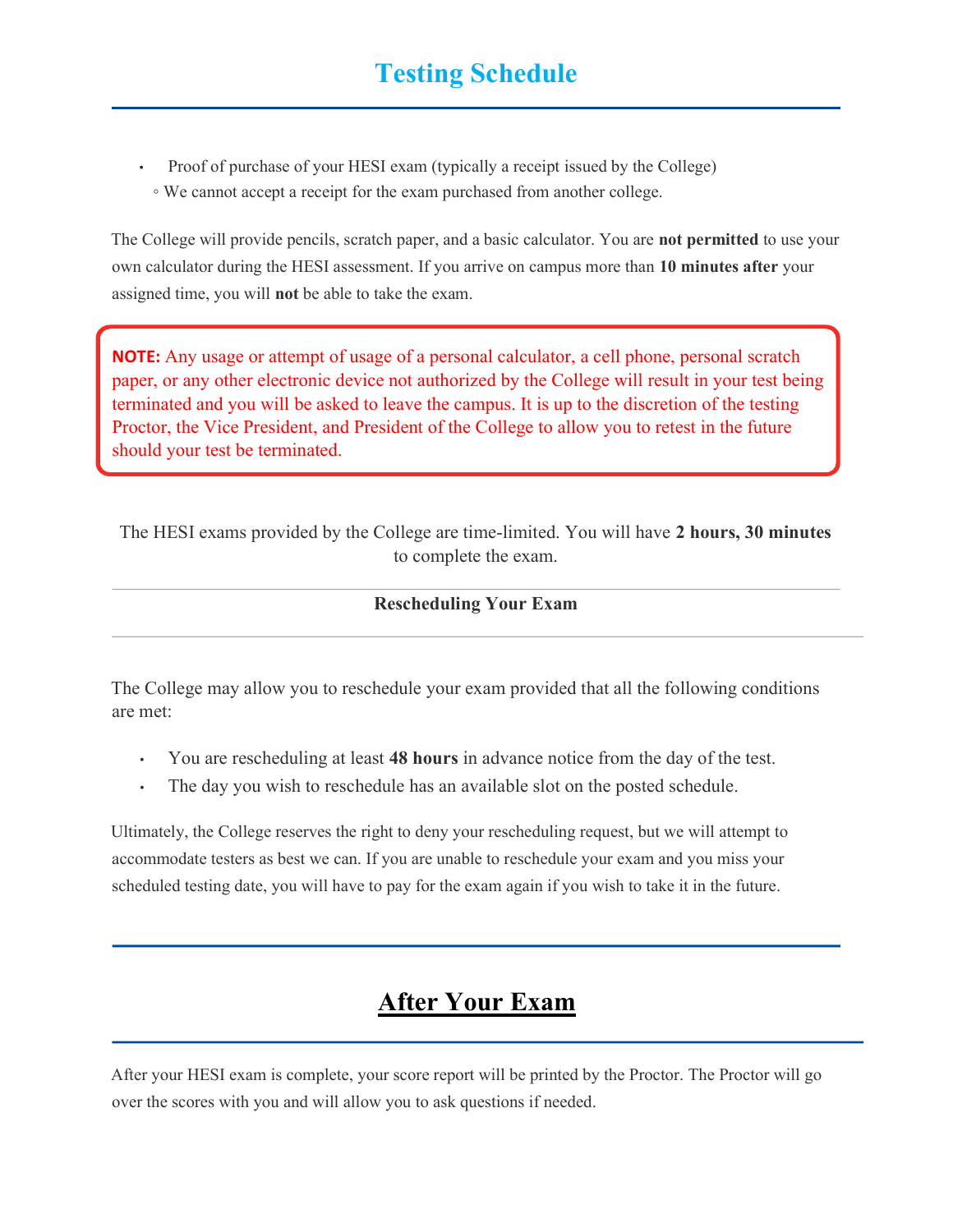- Proof of purchase of your HESI exam (typically a receipt issued by the College)
- We cannot accept a receipt for the exam purchased from another college.

The College will provide pencils, scratch paper, and a basic calculator. You are **not permitted** to use your own calculator during the HESI assessment. If you arrive on campus more than 10 minutes after your assigned time, you will not be able to take the exam.

NOTE: Any usage or attempt of usage of a personal calculator, a cell phone, personal scratch paper, or any other electronic device not authorized by the College will result in your test being terminated and you will be asked to leave the campus. It is up to the discretion of the testing Proctor, the Vice President, and President of the College to allow you to retest in the future should your test be terminated.

The HESI exams provided by the College are time-limited. You will have 2 hours, 30 minutes to complete the exam.

#### Rescheduling Your Exam

The College may allow you to reschedule your exam provided that all the following conditions are met:

- You are rescheduling at least 48 hours in advance notice from the day of the test.
- The day you wish to reschedule has an available slot on the posted schedule.

Ultimately, the College reserves the right to deny your rescheduling request, but we will attempt to accommodate testers as best we can. If you are unable to reschedule your exam and you miss your scheduled testing date, you will have to pay for the exam again if you wish to take it in the future.

## After Your Exam

After your HESI exam is complete, your score report will be printed by the Proctor. The Proctor will go over the scores with you and will allow you to ask questions if needed.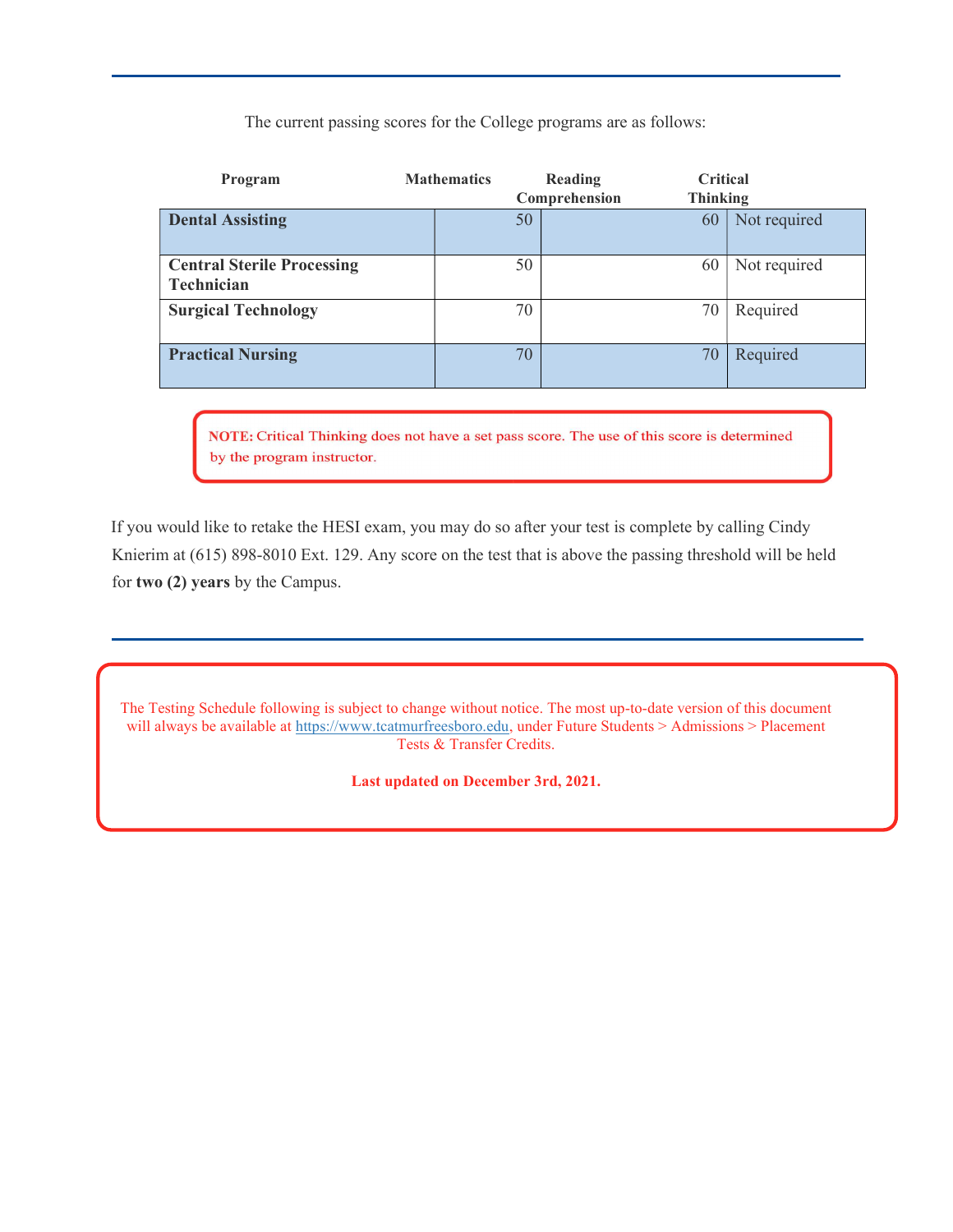The current passing scores for the College programs are as follows:

| Program                                         | <b>Mathematics</b> |    | Reading<br>Comprehension | <b>Critical</b><br><b>Thinking</b> |              |
|-------------------------------------------------|--------------------|----|--------------------------|------------------------------------|--------------|
| <b>Dental Assisting</b>                         |                    | 50 |                          | 60                                 | Not required |
| <b>Central Sterile Processing</b><br>Technician |                    | 50 |                          | 60                                 | Not required |
| <b>Surgical Technology</b>                      |                    | 70 |                          | 70                                 | Required     |
| <b>Practical Nursing</b>                        |                    | 70 |                          | 70                                 | Required     |

NOTE: Critical Thinking does not have a set pass score. The use of this score is determined by the program instructor.

If you would like to retake the HESI exam, you may do so after your test is complete by calling Cindy Knierim at (615) 898-8010 Ext. 129. Any score on the test that is above the passing threshold will be held for two (2) years by the Campus.

The Testing Schedule following is subject to change without notice. The most up-to-date version of this document will always be available at https://www.tcatmurfreesboro.edu, under Future Students > Admissions > Placement Tests & Transfer Credits.

Last updated on December 3rd, 2021.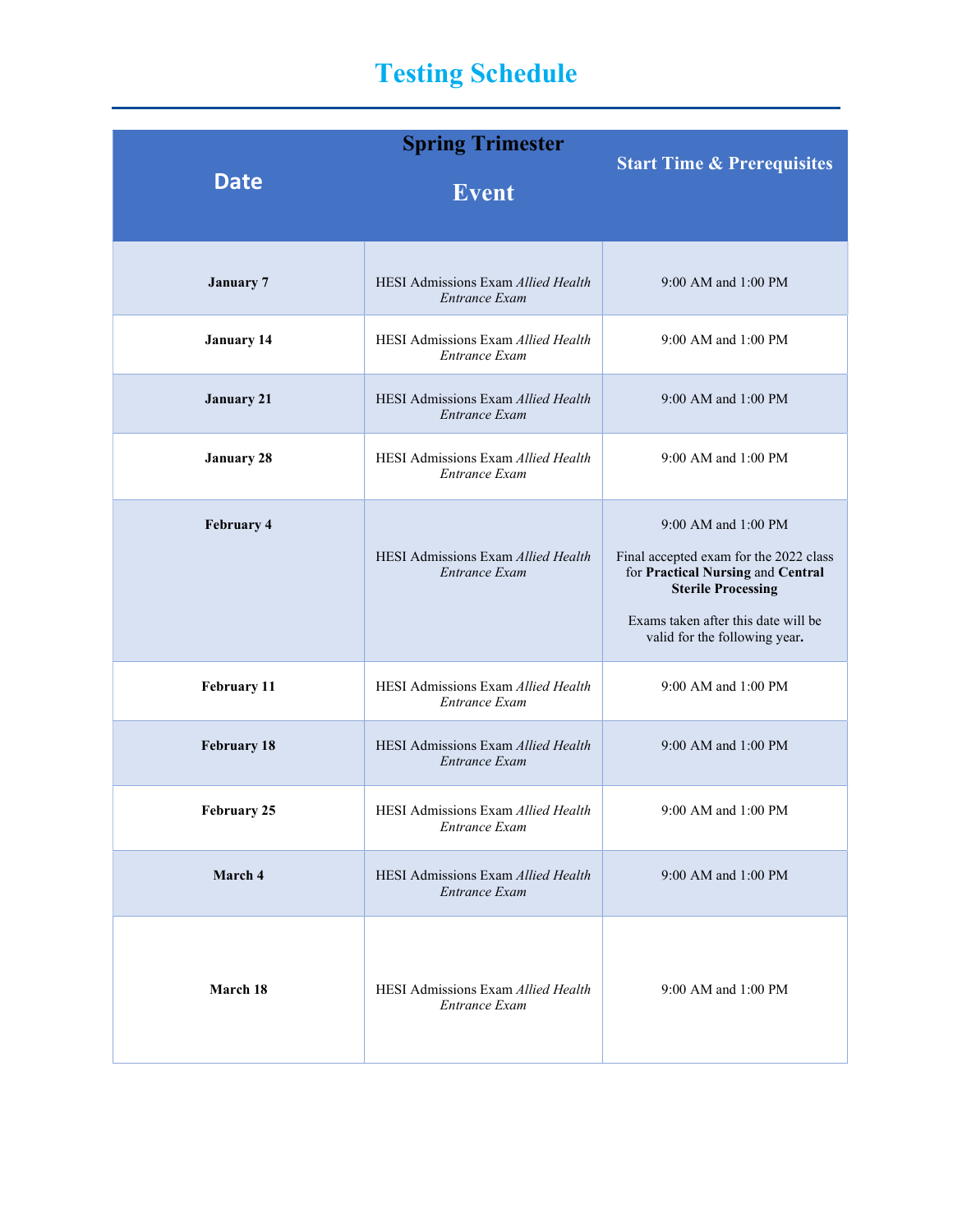# Testing Schedule

| <b>Date</b>        | <b>Spring Trimester</b><br><b>Event</b>                    | <b>Start Time &amp; Prerequisites</b>                                                                                                                                                                   |
|--------------------|------------------------------------------------------------|---------------------------------------------------------------------------------------------------------------------------------------------------------------------------------------------------------|
| <b>January 7</b>   | HESI Admissions Exam Allied Health<br>Entrance Exam        | 9:00 AM and 1:00 PM                                                                                                                                                                                     |
| <b>January 14</b>  | HESI Admissions Exam Allied Health<br>Entrance Exam        | 9:00 AM and 1:00 PM                                                                                                                                                                                     |
| <b>January 21</b>  | HESI Admissions Exam Allied Health<br>Entrance Exam        | 9:00 AM and 1:00 PM                                                                                                                                                                                     |
| <b>January 28</b>  | HESI Admissions Exam Allied Health<br>Entrance Exam        | 9:00 AM and 1:00 PM                                                                                                                                                                                     |
| <b>February 4</b>  | HESI Admissions Exam Allied Health<br>Entrance Exam        | 9:00 AM and 1:00 PM<br>Final accepted exam for the 2022 class<br>for Practical Nursing and Central<br><b>Sterile Processing</b><br>Exams taken after this date will be<br>valid for the following year. |
| February 11        | HESI Admissions Exam Allied Health<br>Entrance Exam        | 9:00 AM and 1:00 PM                                                                                                                                                                                     |
| <b>February 18</b> | HESI Admissions Exam Allied Health<br>Entrance Exam        | 9:00 AM and 1:00 PM                                                                                                                                                                                     |
| <b>February 25</b> | HESI Admissions Exam Allied Health<br>Entrance Exam        | 9:00 AM and 1:00 PM                                                                                                                                                                                     |
| March 4            | HESI Admissions Exam Allied Health<br>Entrance Exam        | 9:00 AM and 1:00 PM                                                                                                                                                                                     |
| March 18           | <b>HESI Admissions Exam Allied Health</b><br>Entrance Exam | 9:00 AM and 1:00 PM                                                                                                                                                                                     |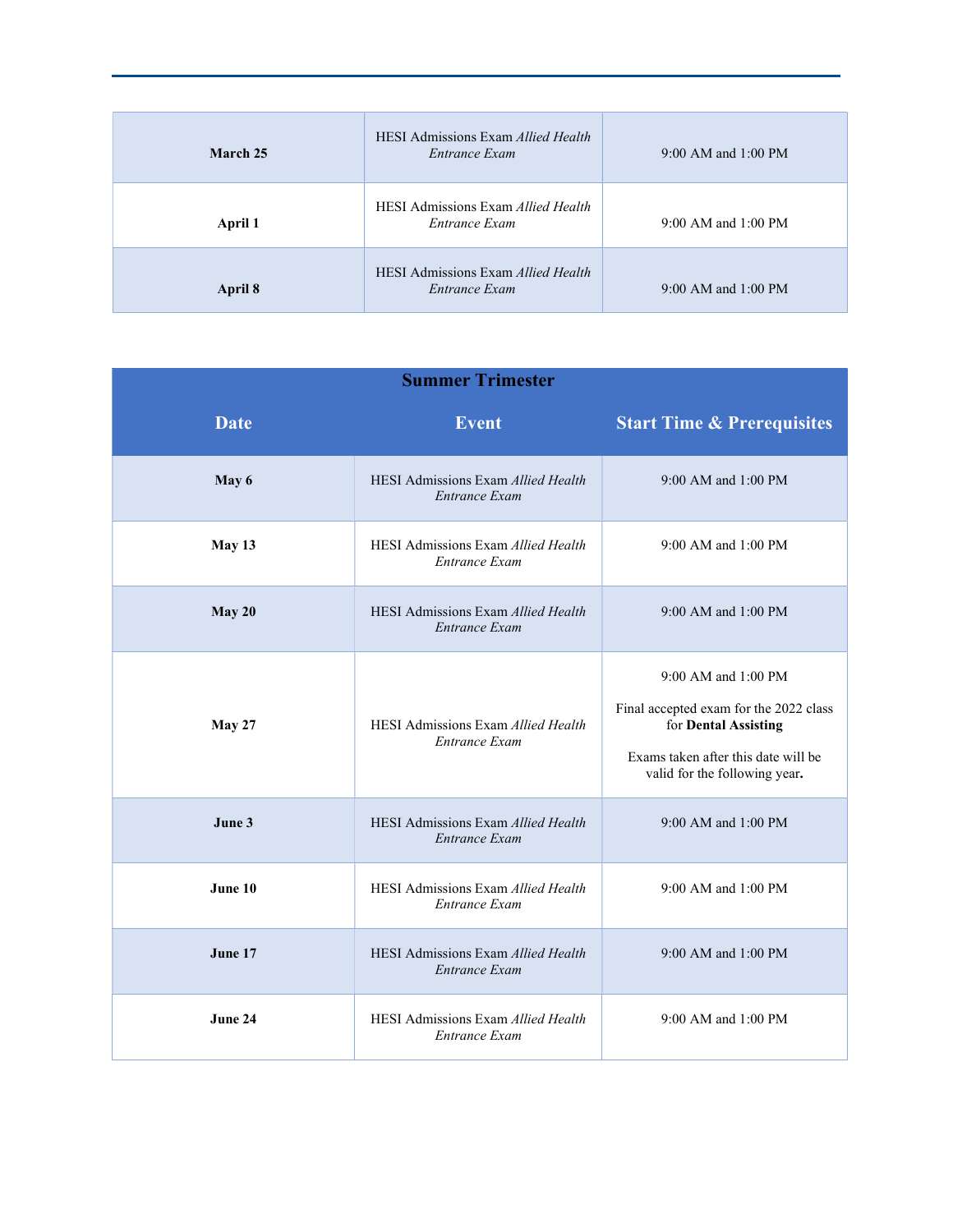| March 25 | <b>HESI</b> Admissions Exam <i>Allied Health</i><br>Entrance Exam | 9:00 AM and 1:00 PM     |
|----------|-------------------------------------------------------------------|-------------------------|
| April 1  | <b>HESI</b> Admissions Exam <i>Allied Health</i><br>Entrance Exam | $9:00$ AM and $1:00$ PM |
| April 8  | <b>HESI Admissions Exam Allied Health</b><br>Entrance Exam        | 9:00 AM and 1:00 PM     |

| <b>Summer Trimester</b> |                                                            |                                                                                                                                                               |  |
|-------------------------|------------------------------------------------------------|---------------------------------------------------------------------------------------------------------------------------------------------------------------|--|
| <b>Date</b>             | <b>Event</b>                                               | <b>Start Time &amp; Prerequisites</b>                                                                                                                         |  |
| May 6                   | HESI Admissions Exam Allied Health<br><b>Entrance Exam</b> | 9:00 AM and 1:00 PM                                                                                                                                           |  |
| May 13                  | HESI Admissions Exam Allied Health<br>Entrance Exam        | 9:00 AM and 1:00 PM                                                                                                                                           |  |
| May 20                  | HESI Admissions Exam Allied Health<br>Entrance Exam        | $9:00$ AM and $1:00$ PM                                                                                                                                       |  |
| May 27                  | HESI Admissions Exam Allied Health<br>Entrance Exam        | 9:00 AM and 1:00 PM<br>Final accepted exam for the 2022 class<br>for Dental Assisting<br>Exams taken after this date will be<br>valid for the following year. |  |
| June 3                  | HESI Admissions Exam Allied Health<br>Entrance Exam        | 9:00 AM and 1:00 PM                                                                                                                                           |  |
| June 10                 | HESI Admissions Exam Allied Health<br>Entrance Exam        | 9:00 AM and 1:00 PM                                                                                                                                           |  |
| June 17                 | HESI Admissions Exam Allied Health<br>Entrance Exam        | 9:00 AM and 1:00 PM                                                                                                                                           |  |
| June 24                 | HESI Admissions Exam Allied Health<br>Entrance Exam        | 9:00 AM and 1:00 PM                                                                                                                                           |  |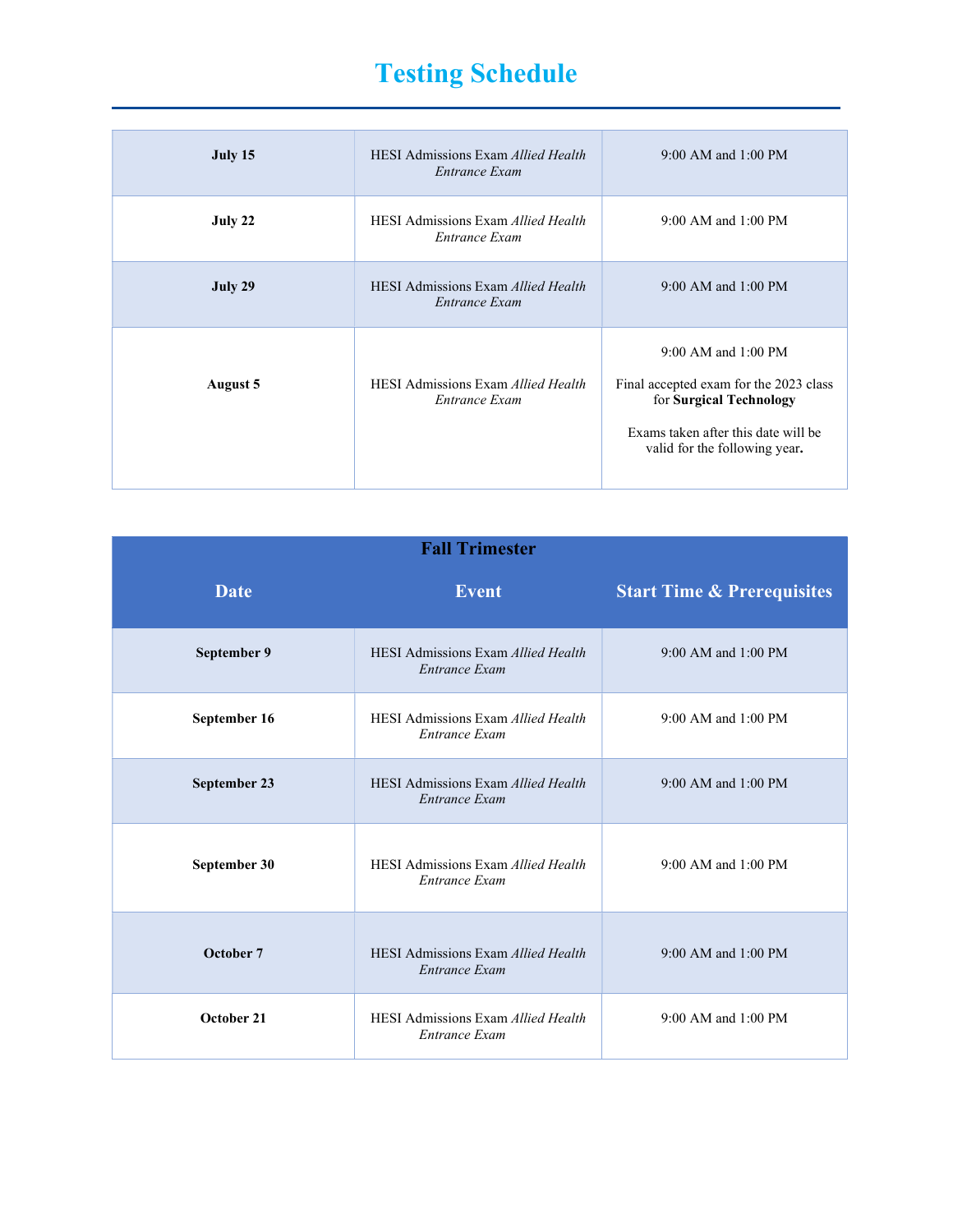# Testing Schedule

| July 15  | <b>HESI Admissions Exam Allied Health</b><br>Entrance Exam | 9:00 AM and 1:00 PM                                                                                                                                                  |
|----------|------------------------------------------------------------|----------------------------------------------------------------------------------------------------------------------------------------------------------------------|
| July 22  | <b>HESI Admissions Exam Allied Health</b><br>Entrance Exam | 9:00 AM and 1:00 PM                                                                                                                                                  |
| July 29  | <b>HESI Admissions Exam Allied Health</b><br>Entrance Exam | $9:00$ AM and $1:00$ PM                                                                                                                                              |
| August 5 | <b>HESI Admissions Exam Allied Health</b><br>Entrance Exam | $9:00$ AM and $1:00$ PM<br>Final accepted exam for the 2023 class<br>for Surgical Technology<br>Exams taken after this date will be<br>valid for the following year. |

| <b>Fall Trimester</b> |                                                                   |                                       |  |
|-----------------------|-------------------------------------------------------------------|---------------------------------------|--|
| <b>Date</b>           | <b>Event</b>                                                      | <b>Start Time &amp; Prerequisites</b> |  |
| September 9           | HESI Admissions Exam Allied Health<br>Entrance Exam               | 9:00 AM and 1:00 PM                   |  |
| September 16          | HESI Admissions Exam Allied Health<br>Entrance Exam               | 9:00 AM and 1:00 PM                   |  |
| September 23          | <b>HESI Admissions Exam Allied Health</b><br><b>Entrance Exam</b> | 9:00 AM and 1:00 PM                   |  |
| September 30          | <b>HESI Admissions Exam Allied Health</b><br>Entrance Exam        | 9:00 AM and 1:00 PM                   |  |
| October 7             | <b>HESI Admissions Exam Allied Health</b><br>Entrance Exam        | 9:00 AM and 1:00 PM                   |  |
| October 21            | HESI Admissions Exam Allied Health<br>Entrance Exam               | 9:00 AM and 1:00 PM                   |  |